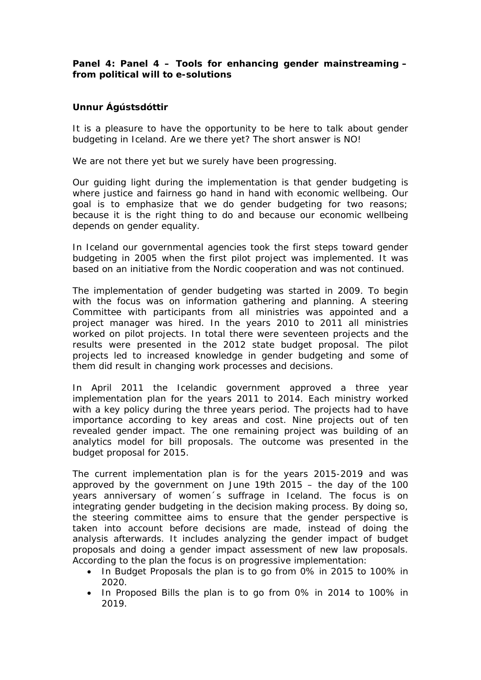**Panel 4: Panel 4 – Tools for enhancing gender mainstreaming – from political will to e-solutions**

**Unnur Ágústsdóttir**

It is a pleasure to have the opportunity to be here to talk about gender budgeting in Iceland. Are we there yet? The short answer is NO!

We are not there yet but we surely have been progressing.

Our guiding light during the implementation is that gender budgeting is where justice and fairness go hand in hand with economic wellbeing. Our goal is to emphasize that we do gender budgeting for two reasons; because it is the right thing to do and because our economic wellbeing depends on gender equality.

In Iceland our governmental agencies took the first steps toward gender budgeting in 2005 when the first pilot project was implemented. It was based on an initiative from the Nordic cooperation and was not continued.

The implementation of gender budgeting was started in 2009. To begin with the focus was on information gathering and planning. A steering Committee with participants from all ministries was appointed and a project manager was hired. In the years 2010 to 2011 all ministries worked on pilot projects. In total there were seventeen projects and the results were presented in the 2012 state budget proposal. The pilot projects led to increased knowledge in gender budgeting and some of them did result in changing work processes and decisions.

In April 2011 the Icelandic government approved a three year implementation plan for the years 2011 to 2014. Each ministry worked with a key policy during the three years period. The projects had to have importance according to key areas and cost. Nine projects out of ten revealed gender impact. The one remaining project was building of an analytics model for bill proposals. The outcome was presented in the budget proposal for 2015.

The current implementation plan is for the years 2015-2019 and was approved by the government on June 19th 2015 – the day of the 100 years anniversary of women´s suffrage in Iceland. The focus is on integrating gender budgeting in the decision making process. By doing so, the steering committee aims to ensure that the gender perspective is taken into account before decisions are made, instead of doing the analysis afterwards. It includes analyzing the gender impact of budget proposals and doing a gender impact assessment of new law proposals. According to the plan the focus is on progressive implementation:

- In Budget Proposals the plan is to go from 0% in 2015 to 100% in 2020.
- In Proposed Bills the plan is to go from 0% in 2014 to 100% in 2019.